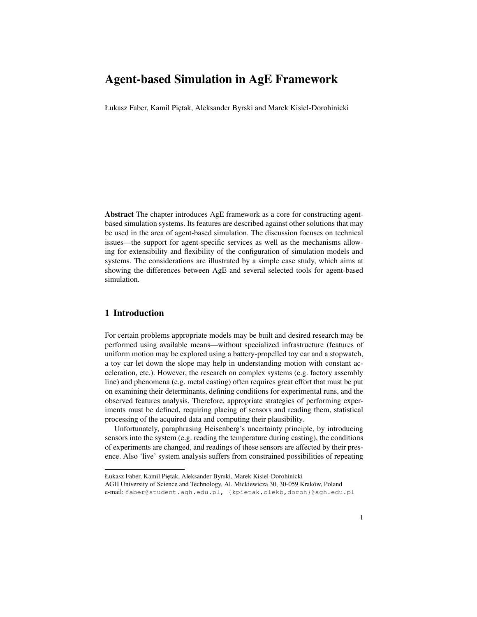Łukasz Faber, Kamil Piętak, Aleksander Byrski and Marek Kisiel-Dorohinicki

Abstract The chapter introduces AgE framework as a core for constructing agentbased simulation systems. Its features are described against other solutions that may be used in the area of agent-based simulation. The discussion focuses on technical issues—the support for agent-specific services as well as the mechanisms allowing for extensibility and flexibility of the configuration of simulation models and systems. The considerations are illustrated by a simple case study, which aims at showing the differences between AgE and several selected tools for agent-based simulation.

# 1 Introduction

For certain problems appropriate models may be built and desired research may be performed using available means—without specialized infrastructure (features of uniform motion may be explored using a battery-propelled toy car and a stopwatch, a toy car let down the slope may help in understanding motion with constant acceleration, etc.). However, the research on complex systems (e.g. factory assembly line) and phenomena (e.g. metal casting) often requires great effort that must be put on examining their determinants, defining conditions for experimental runs, and the observed features analysis. Therefore, appropriate strategies of performing experiments must be defined, requiring placing of sensors and reading them, statistical processing of the acquired data and computing their plausibility.

Unfortunately, paraphrasing Heisenberg's uncertainty principle, by introducing sensors into the system  $(e.g., reading the temperature during casting)$ , the conditions of experiments are changed, and readings of these sensors are affected by their presence. Also 'live' system analysis suffers from constrained possibilities of repeating

Łukasz Faber, Kamil Piętak, Aleksander Byrski, Marek Kisiel-Dorohinicki

AGH University of Science and Technology, Al. Mickiewicza 30, 30-059 Kraków, Poland

e-mail: faber@student.agh.edu.pl, {kpietak,olekb,doroh}@agh.edu.pl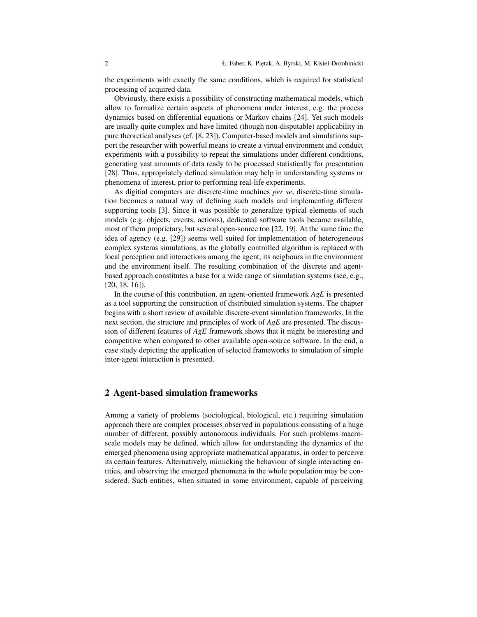the experiments with exactly the same conditions, which is required for statistical processing of acquired data.

Obviously, there exists a possibility of constructing mathematical models, which allow to formalize certain aspects of phenomena under interest, e.g. the process dynamics based on differential equations or Markov chains [24]. Yet such models are usually quite complex and have limited (though non-disputable) applicability in pure theoretical analyses (cf. [8, 23]). Computer-based models and simulations support the researcher with powerful means to create a virtual environment and conduct experiments with a possibility to repeat the simulations under different conditions, generating vast amounts of data ready to be processed statistically for presentation [28]. Thus, appropriately defined simulation may help in understanding systems or phenomena of interest, prior to performing real-life experiments.

As digitial computers are discrete-time machines *per se*, discrete-time simulation becomes a natural way of defining such models and implementing different supporting tools [3]. Since it was possible to generalize typical elements of such models (e.g. objects, events, actions), dedicated software tools became available, most of them proprietary, but several open-source too [22, 19]. At the same time the idea of agency (e.g. [29]) seems well suited for implementation of heterogeneous complex systems simulations, as the globally controlled algorithm is replaced with local perception and interactions among the agent, its neigbours in the environment and the environment itself. The resulting combination of the discrete and agentbased approach constitutes a base for a wide range of simulation systems (see, e.g., [20, 18, 16]).

In the course of this contribution, an agent-oriented framework *AgE* is presented as a tool supporting the construction of distributed simulation systems. The chapter begins with a short review of available discrete-event simulation frameworks. In the next section, the structure and principles of work of *AgE* are presented. The discussion of different features of *AgE* framework shows that it might be interesting and competitive when compared to other available open-source software. In the end, a case study depicting the application of selected frameworks to simulation of simple inter-agent interaction is presented.

## 2 Agent-based simulation frameworks

Among a variety of problems (sociological, biological, etc.) requiring simulation approach there are complex processes observed in populations consisting of a huge number of different, possibly autonomous individuals. For such problems macroscale models may be defined, which allow for understanding the dynamics of the emerged phenomena using appropriate mathematical apparatus, in order to perceive its certain features. Alternatively, mimicking the behaviour of single interacting entities, and observing the emerged phenomena in the whole population may be considered. Such entities, when situated in some environment, capable of perceiving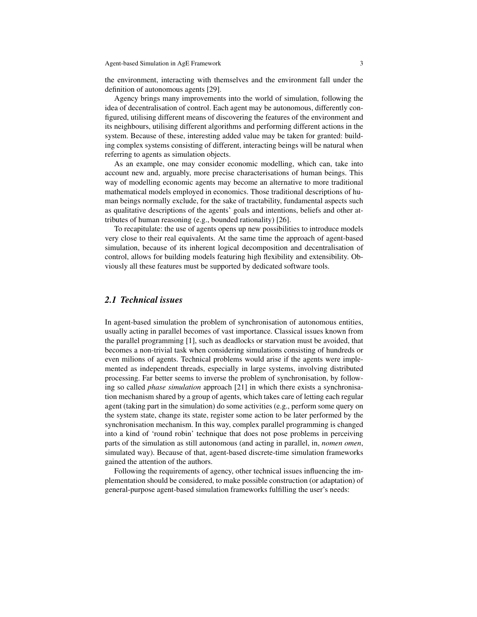the environment, interacting with themselves and the environment fall under the definition of autonomous agents [29].

Agency brings many improvements into the world of simulation, following the idea of decentralisation of control. Each agent may be autonomous, differently configured, utilising different means of discovering the features of the environment and its neighbours, utilising different algorithms and performing different actions in the system. Because of these, interesting added value may be taken for granted: building complex systems consisting of different, interacting beings will be natural when referring to agents as simulation objects.

As an example, one may consider economic modelling, which can, take into account new and, arguably, more precise characterisations of human beings. This way of modelling economic agents may become an alternative to more traditional mathematical models employed in economics. Those traditional descriptions of human beings normally exclude, for the sake of tractability, fundamental aspects such as qualitative descriptions of the agents' goals and intentions, beliefs and other attributes of human reasoning (e.g., bounded rationality) [26].

To recapitulate: the use of agents opens up new possibilities to introduce models very close to their real equivalents. At the same time the approach of agent-based simulation, because of its inherent logical decomposition and decentralisation of control, allows for building models featuring high flexibility and extensibility. Obviously all these features must be supported by dedicated software tools.

# *2.1 Technical issues*

In agent-based simulation the problem of synchronisation of autonomous entities, usually acting in parallel becomes of vast importance. Classical issues known from the parallel programming [1], such as deadlocks or starvation must be avoided, that becomes a non-trivial task when considering simulations consisting of hundreds or even milions of agents. Technical problems would arise if the agents were implemented as independent threads, especially in large systems, involving distributed processing. Far better seems to inverse the problem of synchronisation, by following so called *phase simulation* approach [21] in which there exists a synchronisation mechanism shared by a group of agents, which takes care of letting each regular agent (taking part in the simulation) do some activities (e.g., perform some query on the system state, change its state, register some action to be later performed by the synchronisation mechanism. In this way, complex parallel programming is changed into a kind of 'round robin' technique that does not pose problems in perceiving parts of the simulation as still autonomous (and acting in parallel, in, *nomen omen*, simulated way). Because of that, agent-based discrete-time simulation frameworks gained the attention of the authors.

Following the requirements of agency, other technical issues influencing the implementation should be considered, to make possible construction (or adaptation) of general-purpose agent-based simulation frameworks fulfilling the user's needs: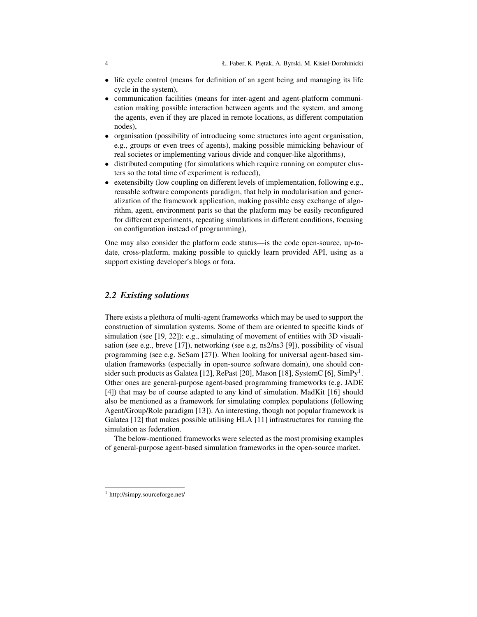- life cycle control (means for definition of an agent being and managing its life cycle in the system),
- communication facilities (means for inter-agent and agent-platform communication making possible interaction between agents and the system, and among the agents, even if they are placed in remote locations, as different computation nodes),
- organisation (possibility of introducing some structures into agent organisation, e.g., groups or even trees of agents), making possible mimicking behaviour of real societes or implementing various divide and conquer-like algorithms),
- distributed computing (for simulations which require running on computer clusters so the total time of experiment is reduced),
- exetensibilty (low coupling on different levels of implementation, following e.g., reusable software components paradigm, that help in modularisation and generalization of the framework application, making possible easy exchange of algorithm, agent, environment parts so that the platform may be easily reconfigured for different experiments, repeating simulations in different conditions, focusing on configuration instead of programming),

One may also consider the platform code status—is the code open-source, up-todate, cross-platform, making possible to quickly learn provided API, using as a support existing developer's blogs or fora.

# *2.2 Existing solutions*

There exists a plethora of multi-agent frameworks which may be used to support the construction of simulation systems. Some of them are oriented to specific kinds of simulation (see [19, 22]): e.g., simulating of movement of entities with 3D visualisation (see e.g., breve [17]), networking (see e.g, ns2/ns3 [9]), possibility of visual programming (see e.g. SeSam [27]). When looking for universal agent-based simulation frameworks (especially in open-source software domain), one should consider such products as Galatea [12], RePast [20], Mason [18], SystemC [6], SimPy<sup>1</sup>. Other ones are general-purpose agent-based programming frameworks (e.g. JADE [4]) that may be of course adapted to any kind of simulation. MadKit [16] should also be mentioned as a framework for simulating complex populations (following Agent/Group/Role paradigm [13]). An interesting, though not popular framework is Galatea [12] that makes possible utilising HLA [11] infrastructures for running the simulation as federation.

The below-mentioned frameworks were selected as the most promising examples of general-purpose agent-based simulation frameworks in the open-source market.

<sup>1</sup> http://simpy.sourceforge.net/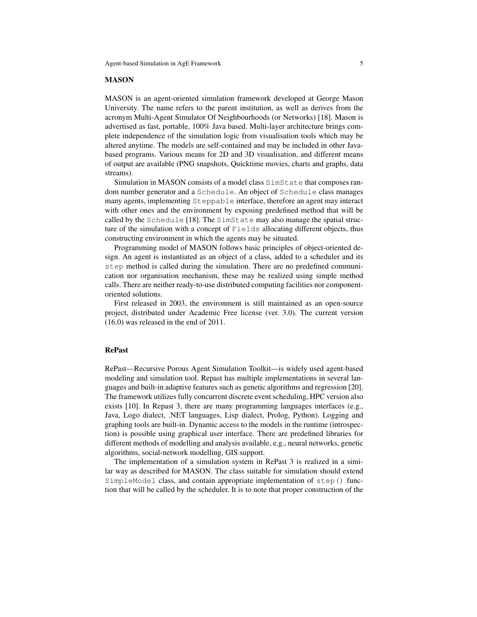## MASON

MASON is an agent-oriented simulation framework developed at George Mason University. The name refers to the parent institution, as well as derives from the acronym Multi-Agent Simulator Of Neighbourhoods (or Networks) [18]. Mason is advertised as fast, portable, 100% Java based. Multi-layer architecture brings complete independence of the simulation logic from visualisation tools which may be altered anytime. The models are self-contained and may be included in other Javabased programs. Various means for 2D and 3D visualisation, and different means of output are available (PNG snapshots, Quicktime movies, charts and graphs, data streams).

Simulation in MASON consists of a model class SimState that composes random number generator and a Schedule. An object of Schedule class manages many agents, implementing Steppable interface, therefore an agent may interact with other ones and the environment by exposing predefined method that will be called by the Schedule [18]. The SimState may also manage the spatial structure of the simulation with a concept of Fields allocating different objects, thus constructing environment in which the agents may be situated.

Programming model of MASON follows basic principles of object-oriented design. An agent is instantiated as an object of a class, added to a scheduler and its step method is called during the simulation. There are no predefined communication nor organisation mechanism, these may be realized using simple method calls. There are neither ready-to-use distributed computing facilities nor componentoriented solutions.

First released in 2003, the environment is still maintained as an open-source project, distributed under Academic Free license (ver. 3.0). The current version (16.0) was released in the end of 2011.

### RePast

RePast—Recursive Porous Agent Simulation Toolkit—is widely used agent-based modeling and simulation tool. Repast has multiple implementations in several languages and built-in adaptive features such as genetic algorithms and regression [20]. The framework utilizes fully concurrent discrete event scheduling, HPC version also exists [10]. In Repast 3, there are many programming languages interfaces (e.g., Java, Logo dialect, .NET languages, Lisp dialect, Prolog, Python). Logging and graphing tools are built-in. Dynamic access to the models in the runtime (introspection) is possible using graphical user interface. There are predefined libraries for different methods of modelling and analysis available, e.g., neural networks, genetic algorithms, social-network modelling, GIS support.

The implementation of a simulation system in RePast 3 is realized in a similar way as described for MASON. The class suitable for simulation should extend SimpleModel class, and contain appropriate implementation of step() function that will be called by the scheduler. It is to note that proper construction of the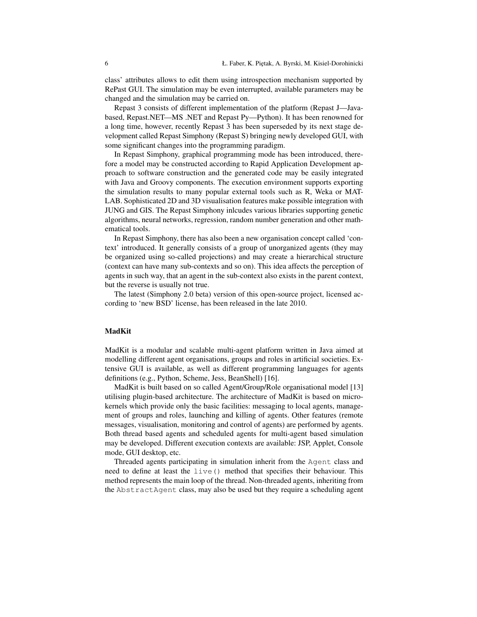class' attributes allows to edit them using introspection mechanism supported by RePast GUI. The simulation may be even interrupted, available parameters may be changed and the simulation may be carried on.

Repast 3 consists of different implementation of the platform (Repast J—Javabased, Repast.NET—MS .NET and Repast Py—Python). It has been renowned for a long time, however, recently Repast 3 has been superseded by its next stage development called Repast Simphony (Repast S) bringing newly developed GUI, with some significant changes into the programming paradigm.

In Repast Simphony, graphical programming mode has been introduced, therefore a model may be constructed according to Rapid Application Development approach to software construction and the generated code may be easily integrated with Java and Groovy components. The execution environment supports exporting the simulation results to many popular external tools such as R, Weka or MAT-LAB. Sophisticated 2D and 3D visualisation features make possible integration with JUNG and GIS. The Repast Simphony inlcudes various libraries supporting genetic algorithms, neural networks, regression, random number generation and other mathematical tools.

In Repast Simphony, there has also been a new organisation concept called 'context' introduced. It generally consists of a group of unorganized agents (they may be organized using so-called projections) and may create a hierarchical structure (context can have many sub-contexts and so on). This idea affects the perception of agents in such way, that an agent in the sub-context also exists in the parent context, but the reverse is usually not true.

The latest (Simphony 2.0 beta) version of this open-source project, licensed according to 'new BSD' license, has been released in the late 2010.

#### MadKit

MadKit is a modular and scalable multi-agent platform written in Java aimed at modelling different agent organisations, groups and roles in artificial societies. Extensive GUI is available, as well as different programming languages for agents definitions (e.g., Python, Scheme, Jess, BeanShell) [16].

MadKit is built based on so called Agent/Group/Role organisational model [13] utilising plugin-based architecture. The architecture of MadKit is based on microkernels which provide only the basic facilities: messaging to local agents, management of groups and roles, launching and killing of agents. Other features (remote messages, visualisation, monitoring and control of agents) are performed by agents. Both thread based agents and scheduled agents for multi-agent based simulation may be developed. Different execution contexts are available: JSP, Applet, Console mode, GUI desktop, etc.

Threaded agents participating in simulation inherit from the Agent class and need to define at least the live() method that specifies their behaviour. This method represents the main loop of the thread. Non-threaded agents, inheriting from the AbstractAgent class, may also be used but they require a scheduling agent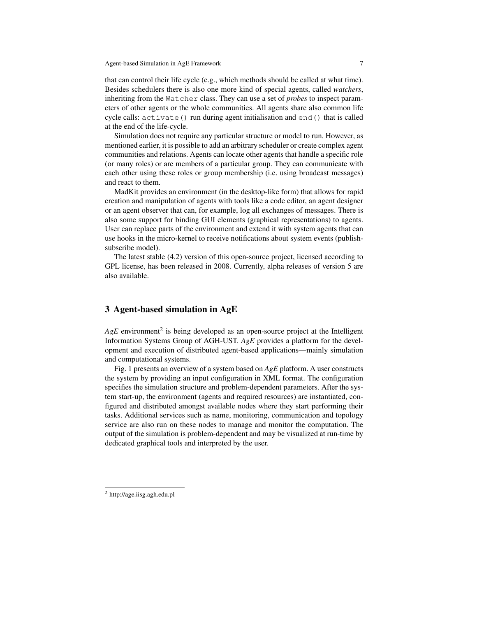that can control their life cycle (e.g., which methods should be called at what time). Besides schedulers there is also one more kind of special agents, called *watchers*, inheriting from the Watcher class. They can use a set of *probes* to inspect parameters of other agents or the whole communities. All agents share also common life cycle calls: activate() run during agent initialisation and end() that is called at the end of the life-cycle.

Simulation does not require any particular structure or model to run. However, as mentioned earlier, it is possible to add an arbitrary scheduler or create complex agent communities and relations. Agents can locate other agents that handle a specific role (or many roles) or are members of a particular group. They can communicate with each other using these roles or group membership (i.e. using broadcast messages) and react to them.

MadKit provides an environment (in the desktop-like form) that allows for rapid creation and manipulation of agents with tools like a code editor, an agent designer or an agent observer that can, for example, log all exchanges of messages. There is also some support for binding GUI elements (graphical representations) to agents. User can replace parts of the environment and extend it with system agents that can use hooks in the micro-kernel to receive notifications about system events (publishsubscribe model).

The latest stable (4.2) version of this open-source project, licensed according to GPL license, has been released in 2008. Currently, alpha releases of version 5 are also available.

# 3 Agent-based simulation in AgE

 $AgE$  environment<sup>2</sup> is being developed as an open-source project at the Intelligent Information Systems Group of AGH-UST. *AgE* provides a platform for the development and execution of distributed agent-based applications—mainly simulation and computational systems.

Fig. 1 presents an overview of a system based on *AgE* platform. A user constructs the system by providing an input configuration in XML format. The configuration specifies the simulation structure and problem-dependent parameters. After the system start-up, the environment (agents and required resources) are instantiated, configured and distributed amongst available nodes where they start performing their tasks. Additional services such as name, monitoring, communication and topology service are also run on these nodes to manage and monitor the computation. The output of the simulation is problem-dependent and may be visualized at run-time by dedicated graphical tools and interpreted by the user.

<sup>2</sup> http://age.iisg.agh.edu.pl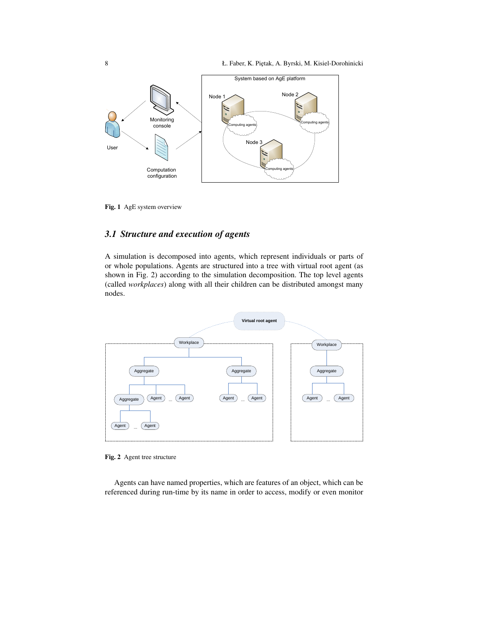

Fig. 1 AgE system overview

# *3.1 Structure and execution of agents*

A simulation is decomposed into agents, which represent individuals or parts of or whole populations. Agents are structured into a tree with virtual root agent (as shown in Fig. 2) according to the simulation decomposition. The top level agents (called *workplaces*) along with all their children can be distributed amongst many nodes.



Fig. 2 Agent tree structure

Agents can have named properties, which are features of an object, which can be referenced during run-time by its name in order to access, modify or even monitor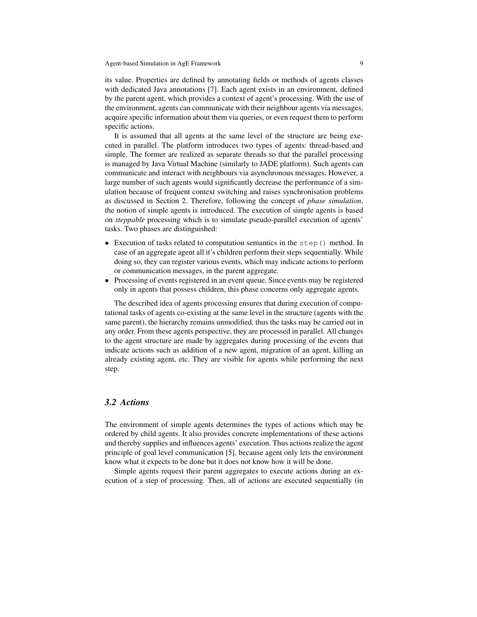its value. Properties are defined by annotating fields or methods of agents classes with dedicated Java annotations [7]. Each agent exists in an environment, defined by the parent agent, which provides a context of agent's processing. With the use of the environment, agents can communicate with their neighbour agents via messages, acquire specific information about them via queries, or even request them to perform specific actions.

It is assumed that all agents at the same level of the structure are being executed in parallel. The platform introduces two types of agents: thread-based and simple. The former are realized as separate threads so that the parallel processing is managed by Java Virtual Machine (similarly to JADE platform). Such agents can communicate and interact with neighbours via asynchronous messages. However, a large number of such agents would significantly decrease the performance of a simulation because of frequent context switching and raises synchronisation problems as discussed in Section 2. Therefore, following the concept of *phase simulation*, the notion of simple agents is introduced. The execution of simple agents is based on *steppable* processing which is to simulate pseudo-parallel execution of agents' tasks. Two phases are distinguished:

- Execution of tasks related to computation semantics in the step () method. In case of an aggregate agent all it's children perform their steps sequentially. While doing so, they can register various events, which may indicate actions to perform or communication messages, in the parent aggregate.
- Processing of events registered in an event queue. Since events may be registered only in agents that possess children, this phase concerns only aggregate agents.

The described idea of agents processing ensures that during execution of computational tasks of agents co-existing at the same level in the structure (agents with the same parent), the hierarchy remains unmodified, thus the tasks may be carried out in any order. From these agents perspective, they are processed in parallel. All changes to the agent structure are made by aggregates during processing of the events that indicate actions such as addition of a new agent, migration of an agent, killing an already existing agent, etc. They are visible for agents while performing the next step.

# *3.2 Actions*

The environment of simple agents determines the types of actions which may be ordered by child agents. It also provides concrete implementations of these actions and thereby supplies and influences agents' execution. Thus actions realize the agent principle of goal level communication [5], because agent only lets the environment know what it expects to be done but it does not know how it will be done.

Simple agents request their parent aggregates to execute actions during an execution of a step of processing. Then, all of actions are executed sequentially (in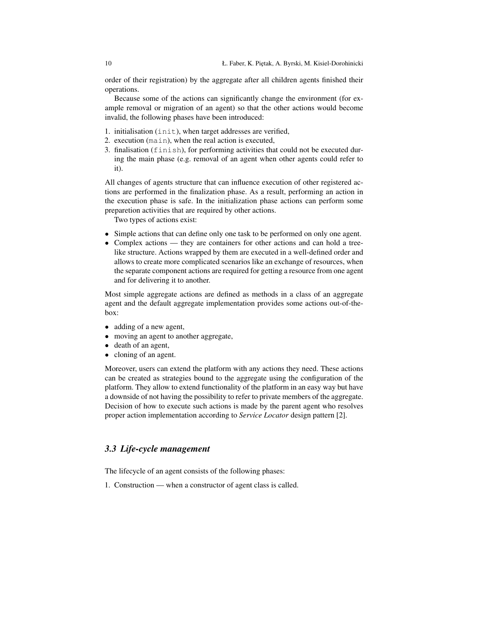order of their registration) by the aggregate after all children agents finished their operations.

Because some of the actions can significantly change the environment (for example removal or migration of an agent) so that the other actions would become invalid, the following phases have been introduced:

- 1. initialisation (init), when target addresses are verified,
- 2. execution (main), when the real action is executed,
- 3. finalisation (finish), for performing activities that could not be executed during the main phase (e.g. removal of an agent when other agents could refer to it).

All changes of agents structure that can influence execution of other registered actions are performed in the finalization phase. As a result, performing an action in the execution phase is safe. In the initialization phase actions can perform some preparetion activities that are required by other actions.

Two types of actions exist:

- Simple actions that can define only one task to be performed on only one agent.
- Complex actions they are containers for other actions and can hold a treelike structure. Actions wrapped by them are executed in a well-defined order and allows to create more complicated scenarios like an exchange of resources, when the separate component actions are required for getting a resource from one agent and for delivering it to another.

Most simple aggregate actions are defined as methods in a class of an aggregate agent and the default aggregate implementation provides some actions out-of-thebox:

- adding of a new agent,
- moving an agent to another aggregate,
- death of an agent,
- cloning of an agent.

Moreover, users can extend the platform with any actions they need. These actions can be created as strategies bound to the aggregate using the configuration of the platform. They allow to extend functionality of the platform in an easy way but have a downside of not having the possibility to refer to private members of the aggregate. Decision of how to execute such actions is made by the parent agent who resolves proper action implementation according to *Service Locator* design pattern [2].

# *3.3 Life-cycle management*

The lifecycle of an agent consists of the following phases:

1. Construction — when a constructor of agent class is called.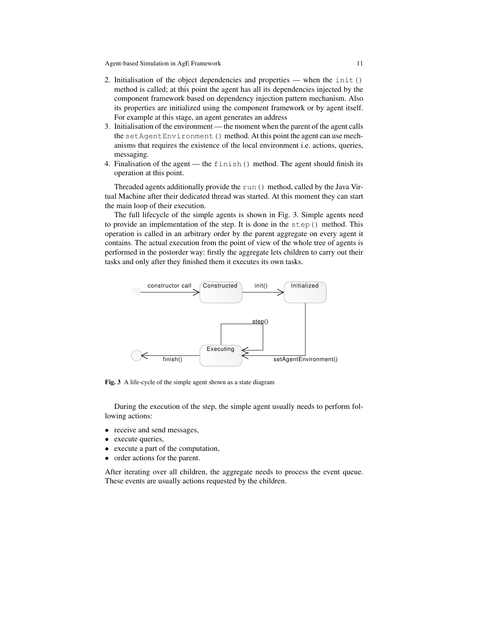- 2. Initialisation of the object dependencies and properties when the  $init()$ method is called; at this point the agent has all its dependencies injected by the component framework based on dependency injection pattern mechanism. Also its properties are initialized using the component framework or by agent itself. For example at this stage, an agent generates an address
- 3. Initialisation of the environment the moment when the parent of the agent calls the setAgentEnvironment() method. At this point the agent can use mechanisms that requires the existence of the local environment i.e. actions, queries, messaging.
- 4. Finalisation of the agent the  $f \in \text{finite}$  () method. The agent should finish its operation at this point.

Threaded agents additionally provide the run() method, called by the Java Virtual Machine after their dedicated thread was started. At this moment they can start the main loop of their execution.

The full lifecycle of the simple agents is shown in Fig. 3. Simple agents need to provide an implementation of the step. It is done in the  $step()$  method. This operation is called in an arbitrary order by the parent aggregate on every agent it contains. The actual execution from the point of view of the whole tree of agents is performed in the postorder way: firstly the aggregate lets children to carry out their tasks and only after they finished them it executes its own tasks.



Fig. 3 A life-cycle of the simple agent shown as a state diagram

During the execution of the step, the simple agent usually needs to perform following actions:

- receive and send messages,
- execute queries,
- execute a part of the computation,
- order actions for the parent.

After iterating over all children, the aggregate needs to process the event queue. These events are usually actions requested by the children.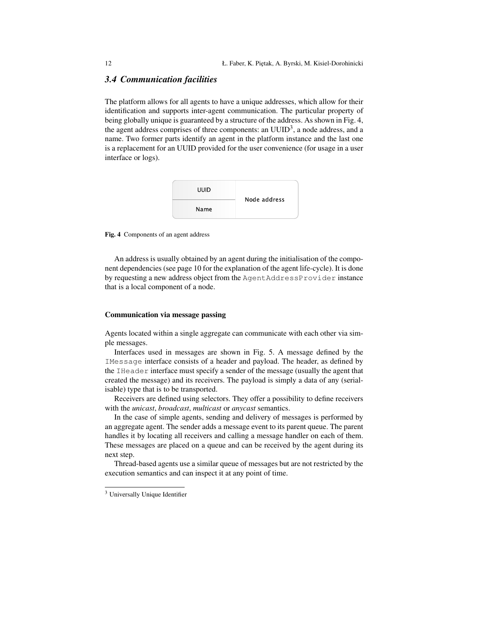## *3.4 Communication facilities*

The platform allows for all agents to have a unique addresses, which allow for their identification and supports inter-agent communication. The particular property of being globally unique is guaranteed by a structure of the address. As shown in Fig. 4, the agent address comprises of three components: an  $\text{UUID}^3$ , a node address, and a name. Two former parts identify an agent in the platform instance and the last one is a replacement for an UUID provided for the user convenience (for usage in a user interface or logs).



Fig. 4 Components of an agent address

An address is usually obtained by an agent during the initialisation of the component dependencies (see page 10 for the explanation of the agent life-cycle). It is done by requesting a new address object from the AgentAddressProvider instance that is a local component of a node.

### Communication via message passing

Agents located within a single aggregate can communicate with each other via simple messages.

Interfaces used in messages are shown in Fig. 5. A message defined by the IMessage interface consists of a header and payload. The header, as defined by the IHeader interface must specify a sender of the message (usually the agent that created the message) and its receivers. The payload is simply a data of any (serialisable) type that is to be transported.

Receivers are defined using selectors. They offer a possibility to define receivers with the *unicast*, *broadcast*, *multicast* or *anycast* semantics.

In the case of simple agents, sending and delivery of messages is performed by an aggregate agent. The sender adds a message event to its parent queue. The parent handles it by locating all receivers and calling a message handler on each of them. These messages are placed on a queue and can be received by the agent during its next step.

Thread-based agents use a similar queue of messages but are not restricted by the execution semantics and can inspect it at any point of time.

<sup>3</sup> Universally Unique Identifier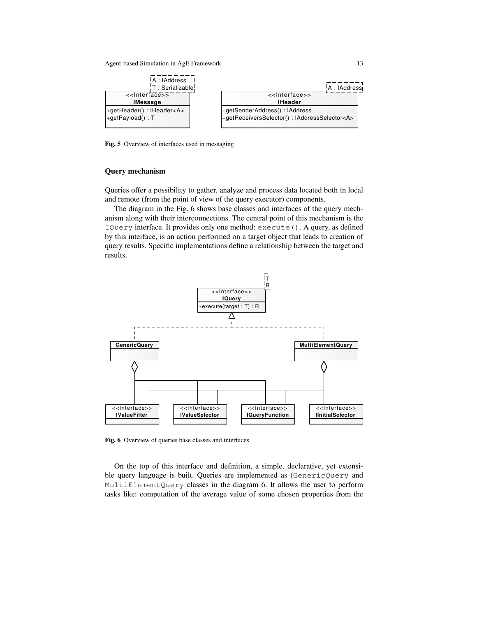

Fig. 5 Overview of interfaces used in messaging

### Query mechanism

Queries offer a possibility to gather, analyze and process data located both in local and remote (from the point of view of the query executor) components.

The diagram in the Fig. 6 shows base classes and interfaces of the query mechanism along with their interconnections. The central point of this mechanism is the IQuery interface. It provides only one method: execute(). A query, as defined by this interface, is an action performed on a target object that leads to creation of query results. Specific implementations define a relationship between the target and results.



Fig. 6 Overview of queries base classes and interfaces

On the top of this interface and definition, a simple, declarative, yet extensible query language is built. Queries are implemented as (GenericQuery and MultiElementQuery classes in the diagram 6. It allows the user to perform tasks like: computation of the average value of some chosen properties from the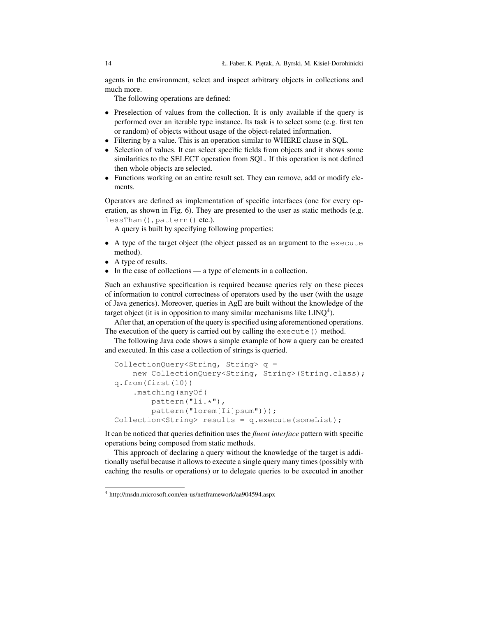agents in the environment, select and inspect arbitrary objects in collections and much more.

The following operations are defined:

- Preselection of values from the collection. It is only available if the query is performed over an iterable type instance. Its task is to select some (e.g. first ten or random) of objects without usage of the object-related information.
- Filtering by a value. This is an operation similar to WHERE clause in SQL.
- Selection of values. It can select specific fields from objects and it shows some similarities to the SELECT operation from SQL. If this operation is not defined then whole objects are selected.
- Functions working on an entire result set. They can remove, add or modify elements.

Operators are defined as implementation of specific interfaces (one for every operation, as shown in Fig. 6). They are presented to the user as static methods (e.g. lessThan(), pattern() etc.).

- A query is built by specifying following properties:
- A type of the target object (the object passed as an argument to the execute method).
- A type of results.
- In the case of collections a type of elements in a collection.

Such an exhaustive specification is required because queries rely on these pieces of information to control correctness of operators used by the user (with the usage of Java generics). Moreover, queries in AgE are built without the knowledge of the target object (it is in opposition to many similar mechanisms like  $LINO<sup>4</sup>$ ).

After that, an operation of the query is specified using aforementioned operations. The execution of the query is carried out by calling the execute() method.

The following Java code shows a simple example of how a query can be created and executed. In this case a collection of strings is queried.

```
CollectionQuery<String, String> q =
    new CollectionQuery<String, String>(String.class);
q.from(first(10))
    .matching(anyOf(
        pattern("li.*"),
        pattern("lorem[Ii]psum")));
Collection<String> results = q.execute(someList);
```
It can be noticed that queries definition uses the *fluent interface* pattern with specific operations being composed from static methods.

This approach of declaring a query without the knowledge of the target is additionally useful because it allows to execute a single query many times (possibly with caching the results or operations) or to delegate queries to be executed in another

<sup>4</sup> http://msdn.microsoft.com/en-us/netframework/aa904594.aspx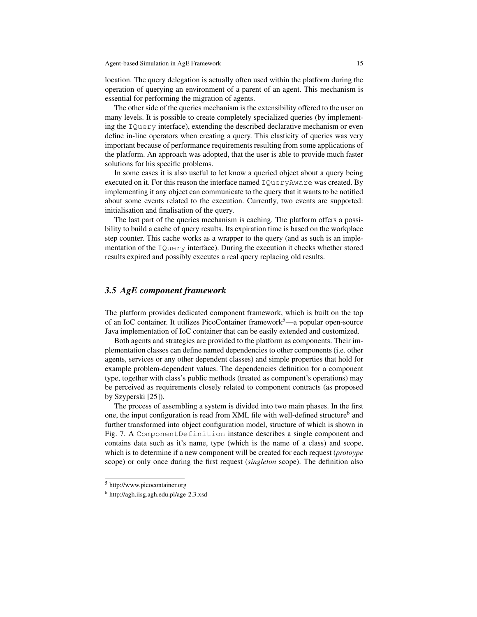location. The query delegation is actually often used within the platform during the operation of querying an environment of a parent of an agent. This mechanism is essential for performing the migration of agents.

The other side of the queries mechanism is the extensibility offered to the user on many levels. It is possible to create completely specialized queries (by implementing the IQuery interface), extending the described declarative mechanism or even define in-line operators when creating a query. This elasticity of queries was very important because of performance requirements resulting from some applications of the platform. An approach was adopted, that the user is able to provide much faster solutions for his specific problems.

In some cases it is also useful to let know a queried object about a query being executed on it. For this reason the interface named IQueryAware was created. By implementing it any object can communicate to the query that it wants to be notified about some events related to the execution. Currently, two events are supported: initialisation and finalisation of the query.

The last part of the queries mechanism is caching. The platform offers a possibility to build a cache of query results. Its expiration time is based on the workplace step counter. This cache works as a wrapper to the query (and as such is an implementation of the IQuery interface). During the execution it checks whether stored results expired and possibly executes a real query replacing old results.

# *3.5 AgE component framework*

The platform provides dedicated component framework, which is built on the top of an IoC container. It utilizes PicoContainer framework<sup>5</sup>—a popular open-source Java implementation of IoC container that can be easily extended and customized.

Both agents and strategies are provided to the platform as components. Their implementation classes can define named dependencies to other components (i.e. other agents, services or any other dependent classes) and simple properties that hold for example problem-dependent values. The dependencies definition for a component type, together with class's public methods (treated as component's operations) may be perceived as requirements closely related to component contracts (as proposed by Szyperski [25]).

The process of assembling a system is divided into two main phases. In the first one, the input configuration is read from XML file with well-defined structure<sup>6</sup> and further transformed into object configuration model, structure of which is shown in Fig. 7. A ComponentDefinition instance describes a single component and contains data such as it's name, type (which is the name of a class) and scope, which is to determine if a new component will be created for each request (*protoype* scope) or only once during the first request (*singleton* scope). The definition also

<sup>5</sup> http://www.picocontainer.org

<sup>6</sup> http://agh.iisg.agh.edu.pl/age-2.3.xsd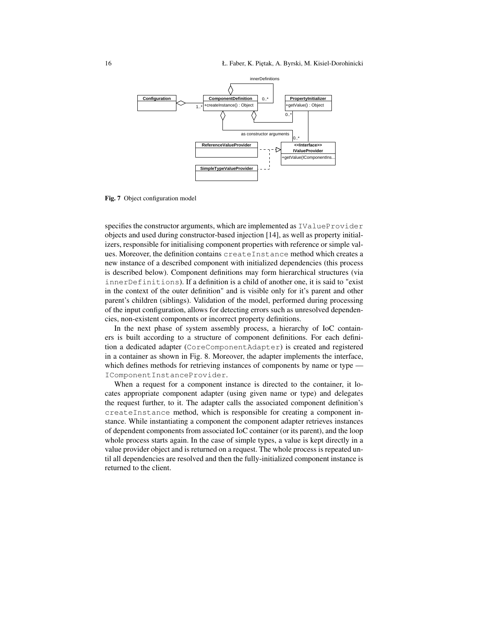

Fig. 7 Object configuration model

specifies the constructor arguments, which are implemented as IValueProvider objects and used during constructor-based injection [14], as well as property initializers, responsible for initialising component properties with reference or simple values. Moreover, the definition contains createInstance method which creates a new instance of a described component with initialized dependencies (this process is described below). Component definitions may form hierarchical structures (via innerDefinitions). If a definition is a child of another one, it is said to "exist in the context of the outer definition" and is visible only for it's parent and other parent's children (siblings). Validation of the model, performed during processing of the input configuration, allows for detecting errors such as unresolved dependencies, non-existent components or incorrect property definitions.

In the next phase of system assembly process, a hierarchy of IoC containers is built according to a structure of component definitions. For each definition a dedicated adapter (CoreComponentAdapter) is created and registered in a container as shown in Fig. 8. Moreover, the adapter implements the interface, which defines methods for retrieving instances of components by name or type — IComponentInstanceProvider.

When a request for a component instance is directed to the container, it locates appropriate component adapter (using given name or type) and delegates the request further, to it. The adapter calls the associated component definition's createInstance method, which is responsible for creating a component instance. While instantiating a component the component adapter retrieves instances of dependent components from associated IoC container (or its parent), and the loop whole process starts again. In the case of simple types, a value is kept directly in a value provider object and is returned on a request. The whole process is repeated until all dependencies are resolved and then the fully-initialized component instance is returned to the client.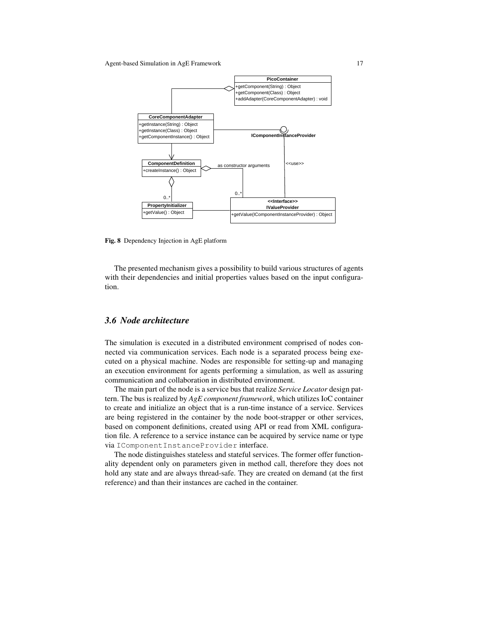

Fig. 8 Dependency Injection in AgE platform

The presented mechanism gives a possibility to build various structures of agents with their dependencies and initial properties values based on the input configuration.

# *3.6 Node architecture*

The simulation is executed in a distributed environment comprised of nodes connected via communication services. Each node is a separated process being executed on a physical machine. Nodes are responsible for setting-up and managing an execution environment for agents performing a simulation, as well as assuring communication and collaboration in distributed environment.

The main part of the node is a service bus that realize *Service Locator* design pattern. The bus is realized by *AgE component framework*, which utilizes IoC container to create and initialize an object that is a run-time instance of a service. Services are being registered in the container by the node boot-strapper or other services, based on component definitions, created using API or read from XML configuration file. A reference to a service instance can be acquired by service name or type via IComponentInstanceProvider interface.

The node distinguishes stateless and stateful services. The former offer functionality dependent only on parameters given in method call, therefore they does not hold any state and are always thread-safe. They are created on demand (at the first reference) and than their instances are cached in the container.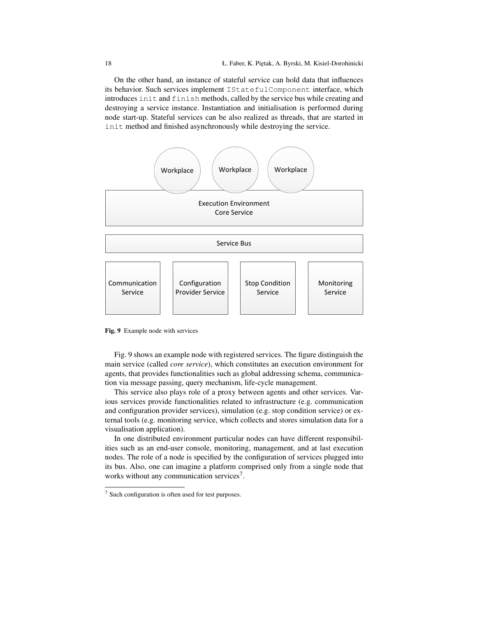On the other hand, an instance of stateful service can hold data that influences its behavior. Such services implement IStatefulComponent interface, which introduces init and finish methods, called by the service bus while creating and destroying a service instance. Instantiation and initialisation is performed during node start-up. Stateful services can be also realized as threads, that are started in init method and finished asynchronously while destroying the service.



Fig. 9 Example node with services

Fig. 9 shows an example node with registered services. The figure distinguish the main service (called *core service*), which constitutes an execution environment for agents, that provides functionalities such as global addressing schema, communication via message passing, query mechanism, life-cycle management.

This service also plays role of a proxy between agents and other services. Various services provide functionalities related to infrastructure (e.g. communication and configuration provider services), simulation (e.g. stop condition service) or external tools (e.g. monitoring service, which collects and stores simulation data for a visualisation application).

In one distributed environment particular nodes can have different responsibilities such as an end-user console, monitoring, management, and at last execution nodes. The role of a node is specified by the configuration of services plugged into its bus. Also, one can imagine a platform comprised only from a single node that works without any communication services<sup>7</sup>.

<sup>7</sup> Such configuration is often used for test purposes.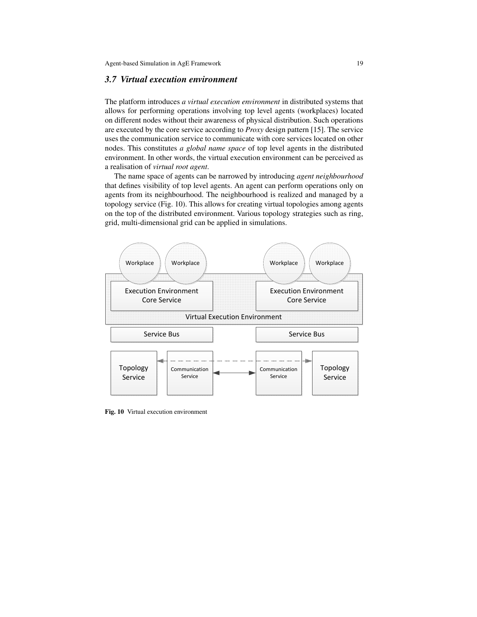### *3.7 Virtual execution environment*

The platform introduces *a virtual execution environment* in distributed systems that allows for performing operations involving top level agents (workplaces) located on different nodes without their awareness of physical distribution. Such operations are executed by the core service according to *Proxy* design pattern [15]. The service uses the communication service to communicate with core services located on other nodes. This constitutes *a global name space* of top level agents in the distributed environment. In other words, the virtual execution environment can be perceived as a realisation of *virtual root agent*.

The name space of agents can be narrowed by introducing *agent neighbourhood* that defines visibility of top level agents. An agent can perform operations only on agents from its neighbourhood. The neighbourhood is realized and managed by a topology service (Fig. 10). This allows for creating virtual topologies among agents on the top of the distributed environment. Various topology strategies such as ring, grid, multi-dimensional grid can be applied in simulations.



Fig. 10 Virtual execution environment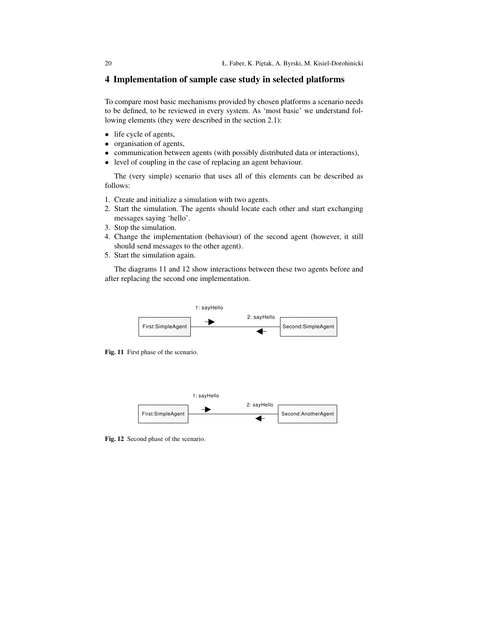# 4 Implementation of sample case study in selected platforms

To compare most basic mechanisms provided by chosen platforms a scenario needs to be defined, to be reviewed in every system. As 'most basic' we understand following elements (they were described in the section 2.1):

- life cycle of agents,
- organisation of agents,
- communication between agents (with possibly distributed data or interactions),
- level of coupling in the case of replacing an agent behaviour.

The (very simple) scenario that uses all of this elements can be described as follows:

- 1. Create and initialize a simulation with two agents.
- 2. Start the simulation. The agents should locate each other and start exchanging messages saying 'hello'.
- 3. Stop the simulation.
- 4. Change the implementation (behaviour) of the second agent (however, it still should send messages to the other agent).
- 5. Start the simulation again.

The diagrams 11 and 12 show interactions between these two agents before and after replacing the second one implementation.



Fig. 11 First phase of the scenario.



Fig. 12 Second phase of the scenario.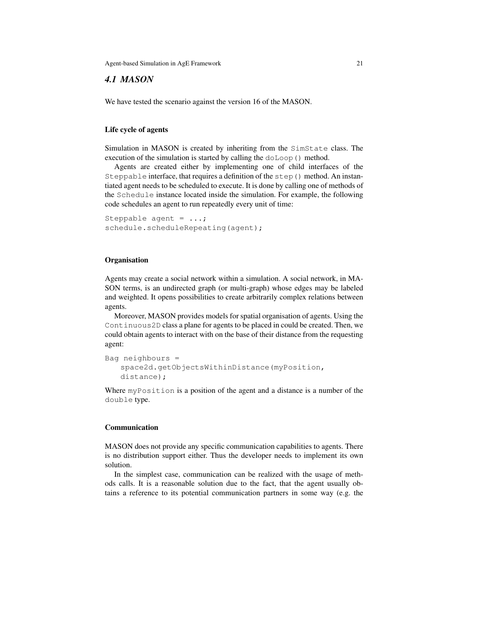# *4.1 MASON*

We have tested the scenario against the version 16 of the MASON.

#### Life cycle of agents

Simulation in MASON is created by inheriting from the SimState class. The execution of the simulation is started by calling the doLoop() method.

Agents are created either by implementing one of child interfaces of the Steppable interface, that requires a definition of the step() method. An instantiated agent needs to be scheduled to execute. It is done by calling one of methods of the Schedule instance located inside the simulation. For example, the following code schedules an agent to run repeatedly every unit of time:

```
Steppable agent = ...;
schedule.scheduleRepeating(agent);
```
### **Organisation**

Agents may create a social network within a simulation. A social network, in MA-SON terms, is an undirected graph (or multi-graph) whose edges may be labeled and weighted. It opens possibilities to create arbitrarily complex relations between agents.

Moreover, MASON provides models for spatial organisation of agents. Using the Continuous2D class a plane for agents to be placed in could be created. Then, we could obtain agents to interact with on the base of their distance from the requesting agent:

```
Bag neighbours =
   space2d.getObjectsWithinDistance(myPosition,
   distance);
```
Where myPosition is a position of the agent and a distance is a number of the double type.

#### Communication

MASON does not provide any specific communication capabilities to agents. There is no distribution support either. Thus the developer needs to implement its own solution.

In the simplest case, communication can be realized with the usage of methods calls. It is a reasonable solution due to the fact, that the agent usually obtains a reference to its potential communication partners in some way (e.g. the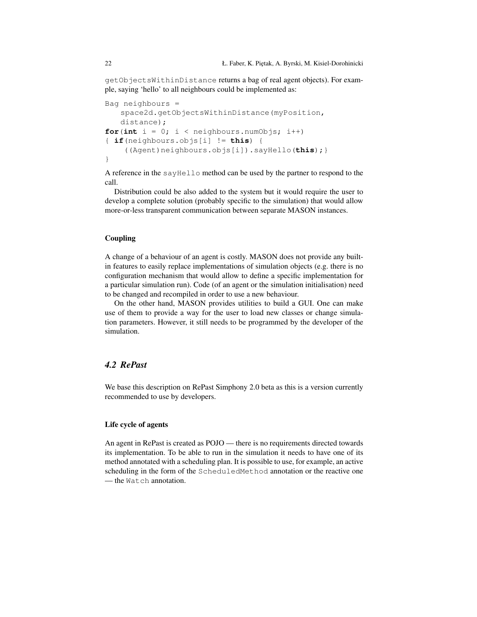getObjectsWithinDistance returns a bag of real agent objects). For example, saying 'hello' to all neighbours could be implemented as:

```
Bag neighbours =
   space2d.getObjectsWithinDistance(myPosition,
   distance);
for(int i = 0; i < neighbours.numObjs; i+1{ if(neighbours.objs[i] != this) {
    ((Agent)neighbours.objs[i]).sayHello(this);}
}
```
A reference in the sayHello method can be used by the partner to respond to the call.

Distribution could be also added to the system but it would require the user to develop a complete solution (probably specific to the simulation) that would allow more-or-less transparent communication between separate MASON instances.

#### Coupling

A change of a behaviour of an agent is costly. MASON does not provide any builtin features to easily replace implementations of simulation objects (e.g. there is no configuration mechanism that would allow to define a specific implementation for a particular simulation run). Code (of an agent or the simulation initialisation) need to be changed and recompiled in order to use a new behaviour.

On the other hand, MASON provides utilities to build a GUI. One can make use of them to provide a way for the user to load new classes or change simulation parameters. However, it still needs to be programmed by the developer of the simulation.

# *4.2 RePast*

We base this description on RePast Simphony 2.0 beta as this is a version currently recommended to use by developers.

### Life cycle of agents

An agent in RePast is created as POJO — there is no requirements directed towards its implementation. To be able to run in the simulation it needs to have one of its method annotated with a scheduling plan. It is possible to use, for example, an active scheduling in the form of the ScheduledMethod annotation or the reactive one — the Watch annotation.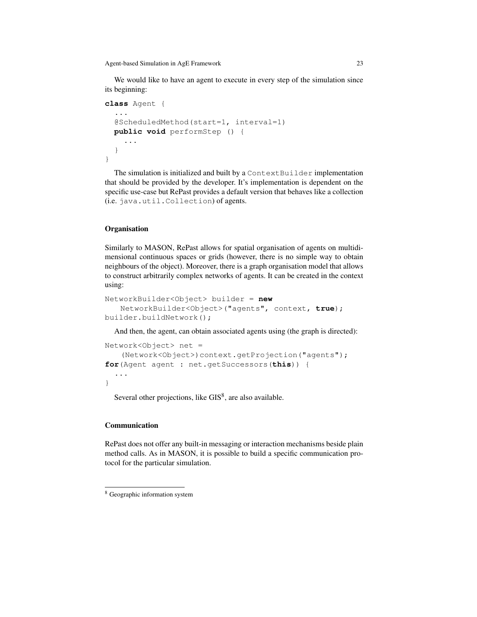We would like to have an agent to execute in every step of the simulation since its beginning:

```
class Agent {
  ...
  @ScheduledMethod(start=1, interval=1)
 public void performStep () {
    ...
  }
}
```
The simulation is initialized and built by a ContextBuilder implementation that should be provided by the developer. It's implementation is dependent on the specific use-case but RePast provides a default version that behaves like a collection (i.e. java.util.Collection) of agents.

#### **Organisation**

Similarly to MASON, RePast allows for spatial organisation of agents on multidimensional continuous spaces or grids (however, there is no simple way to obtain neighbours of the object). Moreover, there is a graph organisation model that allows to construct arbitrarily complex networks of agents. It can be created in the context using:

```
NetworkBuilder<Object> builder = new
   NetworkBuilder<Object>("agents", context, true);
builder.buildNetwork();
```
And then, the agent, can obtain associated agents using (the graph is directed):

```
Network<Object> net =
   (Network<Object>)context.getProjection("agents");
for(Agent agent : net.getSuccessors(this)) {
  ...
}
```
Several other projections, like  $\text{GIS}^8$ , are also available.

#### Communication

RePast does not offer any built-in messaging or interaction mechanisms beside plain method calls. As in MASON, it is possible to build a specific communication protocol for the particular simulation.

<sup>8</sup> Geographic information system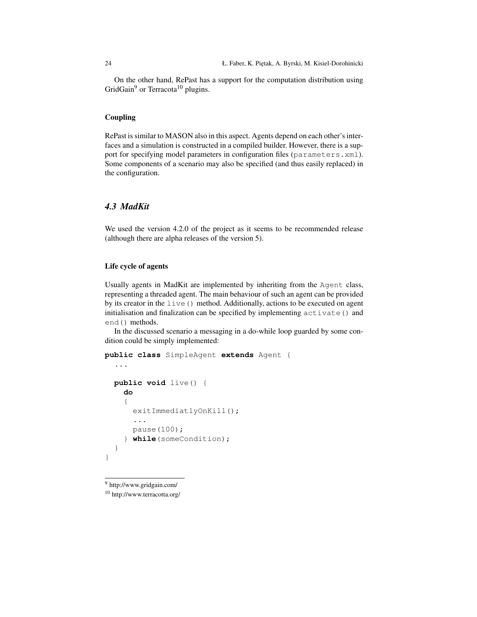On the other hand, RePast has a support for the computation distribution using GridGain<sup>9</sup> or Terracota<sup>10</sup> plugins.

### Coupling

RePast is similar to MASON also in this aspect. Agents depend on each other's interfaces and a simulation is constructed in a compiled builder. However, there is a support for specifying model parameters in configuration files (parameters.xml). Some components of a scenario may also be specified (and thus easily replaced) in the configuration.

# *4.3 MadKit*

We used the version 4.2.0 of the project as it seems to be recommended release (although there are alpha releases of the version 5).

### Life cycle of agents

Usually agents in MadKit are implemented by inheriting from the Agent class, representing a threaded agent. The main behaviour of such an agent can be provided by its creator in the live() method. Additionally, actions to be executed on agent initialisation and finalization can be specified by implementing activate() and end() methods.

In the discussed scenario a messaging in a do-while loop guarded by some condition could be simply implemented:

```
public class SimpleAgent extends Agent {
  ...
 public void live() {
    do
    {
      exitImmediatlyOnKill();
      ...
      pause(100);
    } while(someCondition);
  }
}
```
<sup>9</sup> http://www.gridgain.com/

<sup>10</sup> http://www.terracotta.org/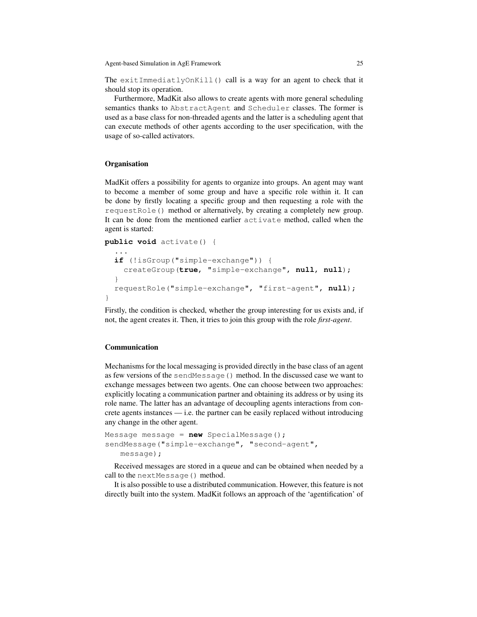The exitImmediatlyOnKill() call is a way for an agent to check that it should stop its operation.

Furthermore, MadKit also allows to create agents with more general scheduling semantics thanks to AbstractAgent and Scheduler classes. The former is used as a base class for non-threaded agents and the latter is a scheduling agent that can execute methods of other agents according to the user specification, with the usage of so-called activators.

#### **Organisation**

MadKit offers a possibility for agents to organize into groups. An agent may want to become a member of some group and have a specific role within it. It can be done by firstly locating a specific group and then requesting a role with the requestRole() method or alternatively, by creating a completely new group. It can be done from the mentioned earlier activate method, called when the agent is started:

```
public void activate() {
  ...
  if (!isGroup("simple-exchange")) {
    createGroup(true, "simple-exchange", null, null);
  }
  requestRole("simple-exchange", "first-agent", null);
}
```
Firstly, the condition is checked, whether the group interesting for us exists and, if not, the agent creates it. Then, it tries to join this group with the role *first-agent*.

### Communication

Mechanisms for the local messaging is provided directly in the base class of an agent as few versions of the sendMessage() method. In the discussed case we want to exchange messages between two agents. One can choose between two approaches: explicitly locating a communication partner and obtaining its address or by using its role name. The latter has an advantage of decoupling agents interactions from concrete agents instances — i.e. the partner can be easily replaced without introducing any change in the other agent.

```
Message message = new SpecialMessage();
sendMessage("simple-exchange", "second-agent",
   message);
```
Received messages are stored in a queue and can be obtained when needed by a call to the nextMessage () method.

It is also possible to use a distributed communication. However, this feature is not directly built into the system. MadKit follows an approach of the 'agentification' of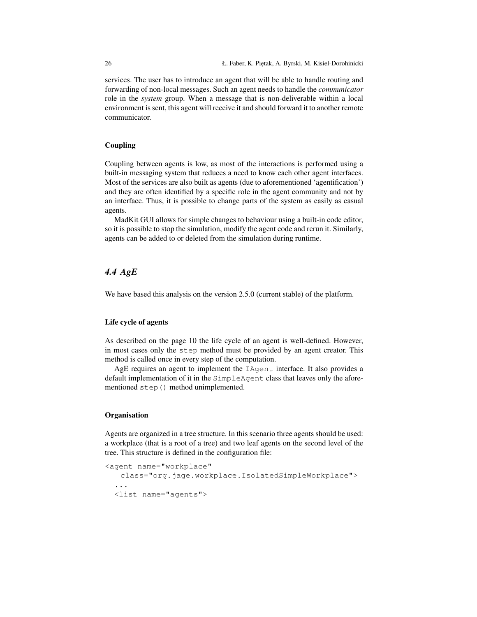services. The user has to introduce an agent that will be able to handle routing and forwarding of non-local messages. Such an agent needs to handle the *communicator* role in the *system* group. When a message that is non-deliverable within a local environment is sent, this agent will receive it and should forward it to another remote communicator.

### Coupling

Coupling between agents is low, as most of the interactions is performed using a built-in messaging system that reduces a need to know each other agent interfaces. Most of the services are also built as agents (due to aforementioned 'agentification') and they are often identified by a specific role in the agent community and not by an interface. Thus, it is possible to change parts of the system as easily as casual agents.

MadKit GUI allows for simple changes to behaviour using a built-in code editor, so it is possible to stop the simulation, modify the agent code and rerun it. Similarly, agents can be added to or deleted from the simulation during runtime.

# *4.4 AgE*

We have based this analysis on the version 2.5.0 (current stable) of the platform.

#### Life cycle of agents

As described on the page 10 the life cycle of an agent is well-defined. However, in most cases only the step method must be provided by an agent creator. This method is called once in every step of the computation.

AgE requires an agent to implement the IAgent interface. It also provides a default implementation of it in the SimpleAgent class that leaves only the aforementioned step() method unimplemented.

### **Organisation**

Agents are organized in a tree structure. In this scenario three agents should be used: a workplace (that is a root of a tree) and two leaf agents on the second level of the tree. This structure is defined in the configuration file:

```
<agent name="workplace"
   class="org.jage.workplace.IsolatedSimpleWorkplace">
  ...
  <list name="agents">
```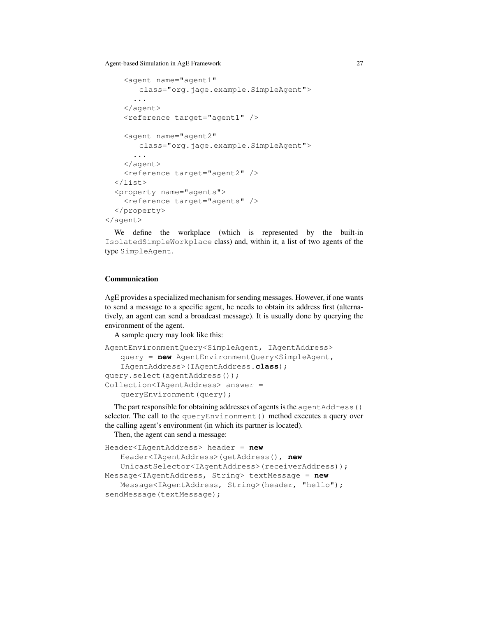```
<agent name="agent1"
       class="org.jage.example.SimpleAgent">
      ...
    </agent>
    <reference target="agent1" />
    <agent name="agent2"
       class="org.jage.example.SimpleAgent">
      ...
    </agent>
    <reference target="agent2" />
  </list>
  <property name="agents">
    <reference target="agents" />
  </property>
</agent>
```
We define the workplace (which is represented by the built-in IsolatedSimpleWorkplace class) and, within it, a list of two agents of the type SimpleAgent.

### Communication

AgE provides a specialized mechanism for sending messages. However, if one wants to send a message to a specific agent, he needs to obtain its address first (alternatively, an agent can send a broadcast message). It is usually done by querying the environment of the agent.

A sample query may look like this:

```
AgentEnvironmentQuery<SimpleAgent, IAgentAddress>
   query = new AgentEnvironmentQuery<SimpleAgent,
   IAgentAddress>(IAgentAddress.class);
query.select(agentAddress());
Collection<IAgentAddress> answer =
   queryEnvironment(query);
```
The part responsible for obtaining addresses of agents is the agentAddress() selector. The call to the queryEnvironment() method executes a query over the calling agent's environment (in which its partner is located).

Then, the agent can send a message:

```
Header<IAgentAddress> header = new
   Header<IAgentAddress>(getAddress(), new
   UnicastSelector<IAgentAddress>(receiverAddress));
Message<IAgentAddress, String> textMessage = new
   Message<IAgentAddress, String>(header, "hello");
sendMessage(textMessage);
```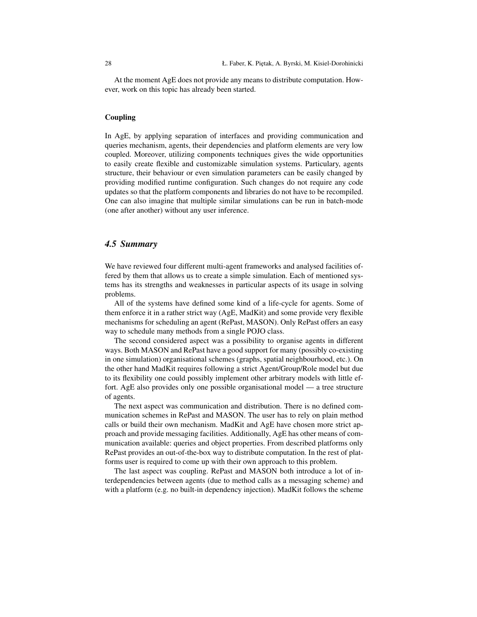At the moment AgE does not provide any means to distribute computation. However, work on this topic has already been started.

### Coupling

In AgE, by applying separation of interfaces and providing communication and queries mechanism, agents, their dependencies and platform elements are very low coupled. Moreover, utilizing components techniques gives the wide opportunities to easily create flexible and customizable simulation systems. Particulary, agents structure, their behaviour or even simulation parameters can be easily changed by providing modified runtime configuration. Such changes do not require any code updates so that the platform components and libraries do not have to be recompiled. One can also imagine that multiple similar simulations can be run in batch-mode (one after another) without any user inference.

# *4.5 Summary*

We have reviewed four different multi-agent frameworks and analysed facilities offered by them that allows us to create a simple simulation. Each of mentioned systems has its strengths and weaknesses in particular aspects of its usage in solving problems.

All of the systems have defined some kind of a life-cycle for agents. Some of them enforce it in a rather strict way (AgE, MadKit) and some provide very flexible mechanisms for scheduling an agent (RePast, MASON). Only RePast offers an easy way to schedule many methods from a single POJO class.

The second considered aspect was a possibility to organise agents in different ways. Both MASON and RePast have a good support for many (possibly co-existing in one simulation) organisational schemes (graphs, spatial neighbourhood, etc.). On the other hand MadKit requires following a strict Agent/Group/Role model but due to its flexibility one could possibly implement other arbitrary models with little effort. AgE also provides only one possible organisational model — a tree structure of agents.

The next aspect was communication and distribution. There is no defined communication schemes in RePast and MASON. The user has to rely on plain method calls or build their own mechanism. MadKit and AgE have chosen more strict approach and provide messaging facilities. Additionally, AgE has other means of communication available: queries and object properties. From described platforms only RePast provides an out-of-the-box way to distribute computation. In the rest of platforms user is required to come up with their own approach to this problem.

The last aspect was coupling. RePast and MASON both introduce a lot of interdependencies between agents (due to method calls as a messaging scheme) and with a platform (e.g. no built-in dependency injection). MadKit follows the scheme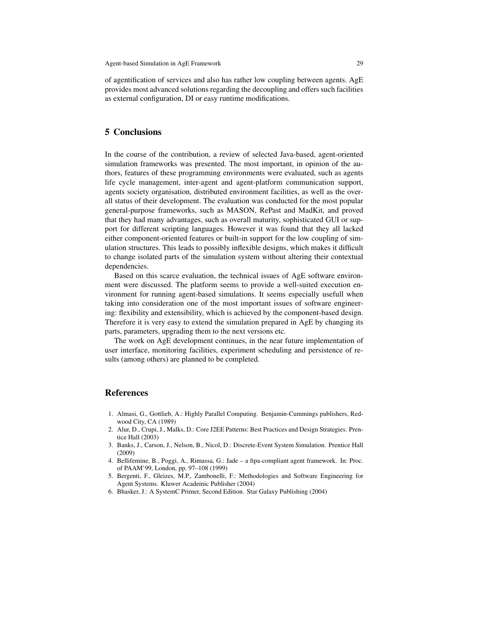of agentification of services and also has rather low coupling between agents. AgE provides most advanced solutions regarding the decoupling and offers such facilities as external configuration, DI or easy runtime modifications.

# 5 Conclusions

In the course of the contribution, a review of selected Java-based, agent-oriented simulation frameworks was presented. The most important, in opinion of the authors, features of these programming environments were evaluated, such as agents life cycle management, inter-agent and agent-platform communication support, agents society organisation, distributed environment facilities, as well as the overall status of their development. The evaluation was conducted for the most popular general-purpose frameworks, such as MASON, RePast and MadKit, and proved that they had many advantages, such as overall maturity, sophisticated GUI or support for different scripting languages. However it was found that they all lacked either component-oriented features or built-in support for the low coupling of simulation structures. This leads to possibly inflexible designs, which makes it difficult to change isolated parts of the simulation system without altering their contextual dependencies.

Based on this scarce evaluation, the technical issues of AgE software environment were discussed. The platform seems to provide a well-suited execution environment for running agent-based simulations. It seems especially usefull when taking into consideration one of the most important issues of software engineering: flexibility and extensibility, which is achieved by the component-based design. Therefore it is very easy to extend the simulation prepared in AgE by changing its parts, parameters, upgrading them to the next versions etc.

The work on AgE development continues, in the near future implementation of user interface, monitoring facilities, experiment scheduling and persistence of results (among others) are planned to be completed.

### References

- 1. Almasi, G., Gottlieb, A.: Highly Parallel Computing. Benjamin-Cummings publishers, Redwood City, CA (1989)
- 2. Alur, D., Crupi, J., Malks, D.: Core J2EE Patterns: Best Practices and Design Strategies. Prentice Hall (2003)
- 3. Banks, J., Carson, J., Nelson, B., Nicol, D.: Discrete-Event System Simulation. Prentice Hall (2009)
- 4. Bellifemine, B., Poggi, A., Rimassa, G.: Jade a fipa-compliant agent framework. In: Proc. of PAAM'99, London, pp. 97–108 (1999)
- 5. Bergenti, F., Gleizes, M.P., Zambonelli, F.: Methodologies and Software Engineering for Agent Systems. Kluwer Academic Publisher (2004)
- 6. Bhasker, J.: A SystemC Primer, Second Edition. Star Galaxy Publishing (2004)